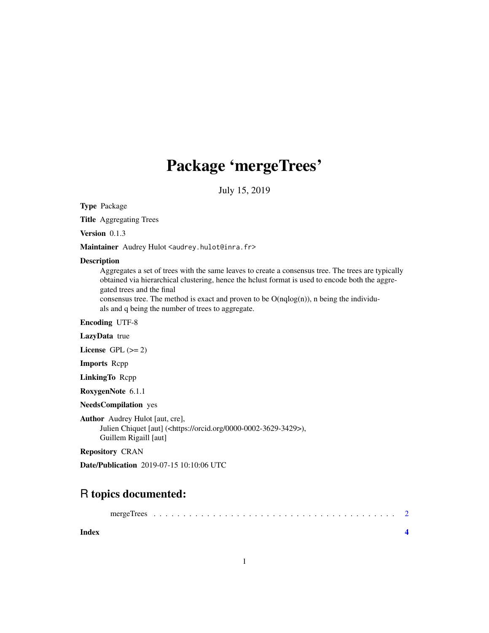## Package 'mergeTrees'

July 15, 2019

Type Package

Title Aggregating Trees

Version 0.1.3

Maintainer Audrey Hulot <audrey.hulot@inra.fr>

#### Description

Aggregates a set of trees with the same leaves to create a consensus tree. The trees are typically obtained via hierarchical clustering, hence the hclust format is used to encode both the aggregated trees and the final

consensus tree. The method is exact and proven to be  $O(nqlog(n))$ , n being the individuals and q being the number of trees to aggregate.

Encoding UTF-8

LazyData true

License GPL  $(>= 2)$ 

Imports Rcpp

LinkingTo Rcpp

RoxygenNote 6.1.1

NeedsCompilation yes

Author Audrey Hulot [aut, cre],

Julien Chiquet [aut] (<https://orcid.org/0000-0002-3629-3429>), Guillem Rigaill [aut]

Repository CRAN

Date/Publication 2019-07-15 10:10:06 UTC

### R topics documented:

**Index** [4](#page-3-0)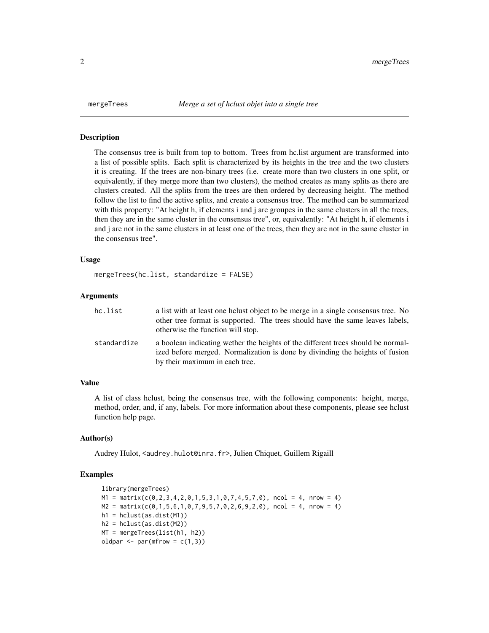<span id="page-1-0"></span>

#### Description

The consensus tree is built from top to bottom. Trees from hc.list argument are transformed into a list of possible splits. Each split is characterized by its heights in the tree and the two clusters it is creating. If the trees are non-binary trees (i.e. create more than two clusters in one split, or equivalently, if they merge more than two clusters), the method creates as many splits as there are clusters created. All the splits from the trees are then ordered by decreasing height. The method follow the list to find the active splits, and create a consensus tree. The method can be summarized with this property: "At height h, if elements i and j are groupes in the same clusters in all the trees, then they are in the same cluster in the consensus tree", or, equivalently: "At height h, if elements i and j are not in the same clusters in at least one of the trees, then they are not in the same cluster in the consensus tree".

#### Usage

mergeTrees(hc.list, standardize = FALSE)

#### Arguments

| hc.list     | a list with at least one holyst object to be merge in a single consensus tree. No<br>other tree format is supported. The trees should have the same leaves labels,<br>otherwise the function will stop. |
|-------------|---------------------------------------------------------------------------------------------------------------------------------------------------------------------------------------------------------|
| standardize | a boolean indicating wether the heights of the different trees should be normal-<br>ized before merged. Normalization is done by divinding the heights of fusion<br>by their maximum in each tree.      |

#### Value

A list of class hclust, being the consensus tree, with the following components: height, merge, method, order, and, if any, labels. For more information about these components, please see hclust function help page.

#### Author(s)

Audrey Hulot, <audrey.hulot@inra.fr>, Julien Chiquet, Guillem Rigaill

#### Examples

```
library(mergeTrees)
M1 = matrix(c(0, 2, 3, 4, 2, 0, 1, 5, 3, 1, 0, 7, 4, 5, 7, 0), ncol = 4, nrow = 4)M2 = matrix(c(0, 1, 5, 6, 1, 0, 7, 9, 5, 7, 0, 2, 6, 9, 2, 0), ncol = 4, nrow = 4)h1 = hclust(as.dist(M1))
h2 = hclust(as.dist(M2))
MT = mergeTrees(list(h1, h2))
oldpar \leq par(mfrow = c(1,3))
```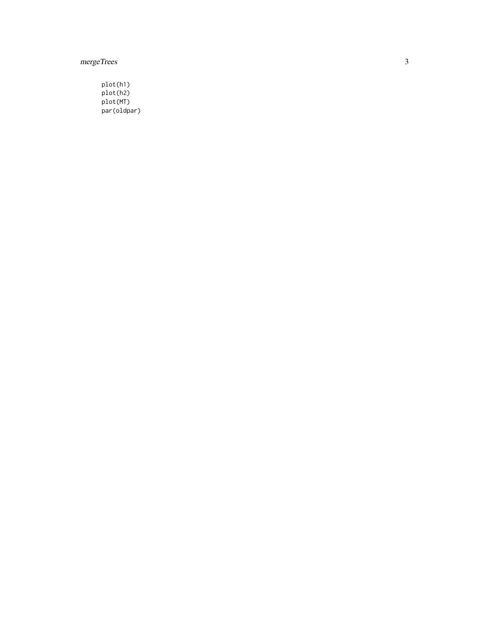mergeTrees

plot(h1) plot(h2) plot(MT) par(oldpar)